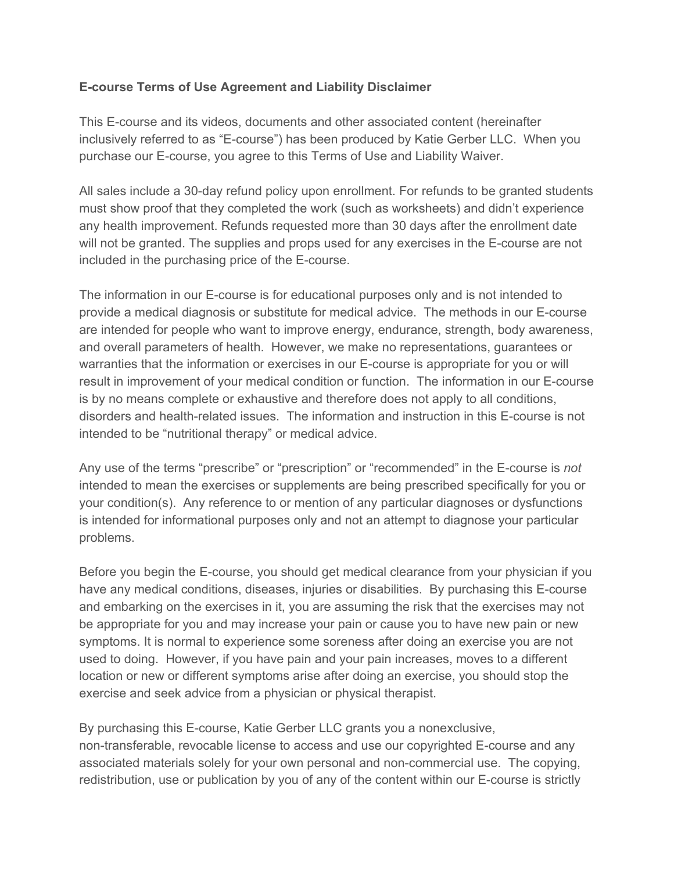## **E-course Terms of Use Agreement and Liability Disclaimer**

This E-course and its videos, documents and other associated content (hereinafter inclusively referred to as "E-course") has been produced by Katie Gerber LLC. When you purchase our E-course, you agree to this Terms of Use and Liability Waiver.

All sales include a 30-day refund policy upon enrollment. For refunds to be granted students must show proof that they completed the work (such as worksheets) and didn't experience any health improvement. Refunds requested more than 30 days after the enrollment date will not be granted. The supplies and props used for any exercises in the E-course are not included in the purchasing price of the E-course.

The information in our E-course is for educational purposes only and is not intended to provide a medical diagnosis or substitute for medical advice. The methods in our E-course are intended for people who want to improve energy, endurance, strength, body awareness, and overall parameters of health. However, we make no representations, guarantees or warranties that the information or exercises in our E-course is appropriate for you or will result in improvement of your medical condition or function. The information in our E-course is by no means complete or exhaustive and therefore does not apply to all conditions, disorders and health-related issues. The information and instruction in this E-course is not intended to be "nutritional therapy" or medical advice.

Any use of the terms "prescribe" or "prescription" or "recommended" in the E-course is *not* intended to mean the exercises or supplements are being prescribed specifically for you or your condition(s). Any reference to or mention of any particular diagnoses or dysfunctions is intended for informational purposes only and not an attempt to diagnose your particular problems.

Before you begin the E-course, you should get medical clearance from your physician if you have any medical conditions, diseases, injuries or disabilities. By purchasing this E-course and embarking on the exercises in it, you are assuming the risk that the exercises may not be appropriate for you and may increase your pain or cause you to have new pain or new symptoms. It is normal to experience some soreness after doing an exercise you are not used to doing. However, if you have pain and your pain increases, moves to a different location or new or different symptoms arise after doing an exercise, you should stop the exercise and seek advice from a physician or physical therapist.

By purchasing this E-course, Katie Gerber LLC grants you a nonexclusive, non-transferable, revocable license to access and use our copyrighted E-course and any associated materials solely for your own personal and non-commercial use. The copying, redistribution, use or publication by you of any of the content within our E-course is strictly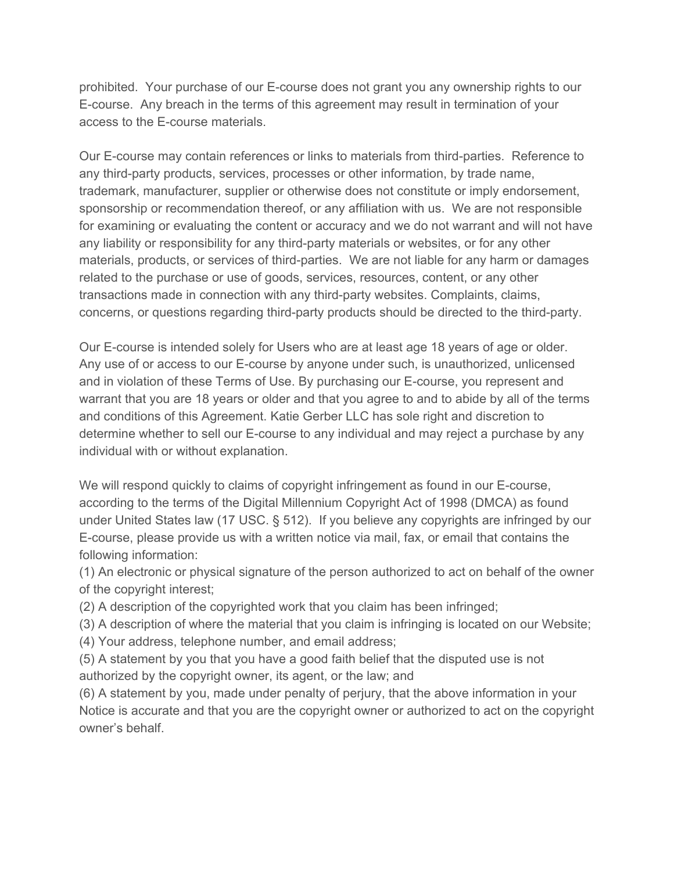prohibited. Your purchase of our E-course does not grant you any ownership rights to our E-course. Any breach in the terms of this agreement may result in termination of your access to the E-course materials.

Our E-course may contain references or links to materials from third-parties. Reference to any third-party products, services, processes or other information, by trade name, trademark, manufacturer, supplier or otherwise does not constitute or imply endorsement, sponsorship or recommendation thereof, or any affiliation with us. We are not responsible for examining or evaluating the content or accuracy and we do not warrant and will not have any liability or responsibility for any third-party materials or websites, or for any other materials, products, or services of third-parties. We are not liable for any harm or damages related to the purchase or use of goods, services, resources, content, or any other transactions made in connection with any third-party websites. Complaints, claims, concerns, or questions regarding third-party products should be directed to the third-party.

Our E-course is intended solely for Users who are at least age 18 years of age or older. Any use of or access to our E-course by anyone under such, is unauthorized, unlicensed and in violation of these Terms of Use. By purchasing our E-course, you represent and warrant that you are 18 years or older and that you agree to and to abide by all of the terms and conditions of this Agreement. Katie Gerber LLC has sole right and discretion to determine whether to sell our E-course to any individual and may reject a purchase by any individual with or without explanation.

We will respond quickly to claims of copyright infringement as found in our E-course, according to the terms of the Digital Millennium Copyright Act of 1998 (DMCA) as found under United States law (17 USC. § 512). If you believe any copyrights are infringed by our E-course, please provide us with a written notice via mail, fax, or email that contains the following information:

(1) An electronic or physical signature of the person authorized to act on behalf of the owner of the copyright interest;

(2) A description of the copyrighted work that you claim has been infringed;

(3) A description of where the material that you claim is infringing is located on our Website;

(4) Your address, telephone number, and email address;

(5) A statement by you that you have a good faith belief that the disputed use is not authorized by the copyright owner, its agent, or the law; and

(6) A statement by you, made under penalty of perjury, that the above information in your Notice is accurate and that you are the copyright owner or authorized to act on the copyright owner's behalf.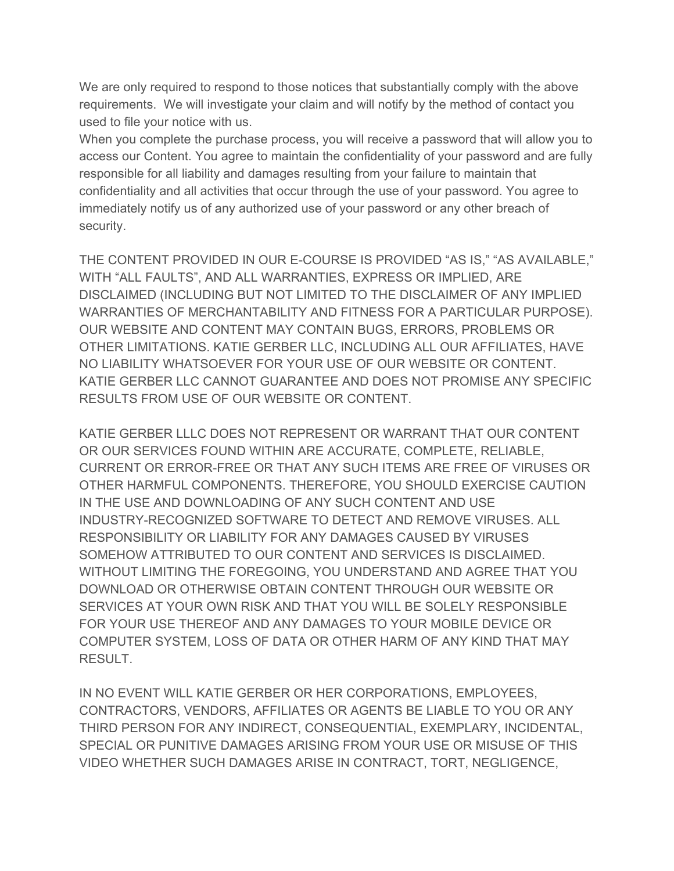We are only required to respond to those notices that substantially comply with the above requirements. We will investigate your claim and will notify by the method of contact you used to file your notice with us.

When you complete the purchase process, you will receive a password that will allow you to access our Content. You agree to maintain the confidentiality of your password and are fully responsible for all liability and damages resulting from your failure to maintain that confidentiality and all activities that occur through the use of your password. You agree to immediately notify us of any authorized use of your password or any other breach of security.

THE CONTENT PROVIDED IN OUR E-COURSE IS PROVIDED "AS IS," "AS AVAILABLE," WITH "ALL FAULTS", AND ALL WARRANTIES, EXPRESS OR IMPLIED, ARE DISCLAIMED (INCLUDING BUT NOT LIMITED TO THE DISCLAIMER OF ANY IMPLIED WARRANTIES OF MERCHANTABILITY AND FITNESS FOR A PARTICULAR PURPOSE). OUR WEBSITE AND CONTENT MAY CONTAIN BUGS, ERRORS, PROBLEMS OR OTHER LIMITATIONS. KATIE GERBER LLC, INCLUDING ALL OUR AFFILIATES, HAVE NO LIABILITY WHATSOEVER FOR YOUR USE OF OUR WEBSITE OR CONTENT. KATIE GERBER LLC CANNOT GUARANTEE AND DOES NOT PROMISE ANY SPECIFIC RESULTS FROM USE OF OUR WEBSITE OR CONTENT.

KATIE GERBER LLLC DOES NOT REPRESENT OR WARRANT THAT OUR CONTENT OR OUR SERVICES FOUND WITHIN ARE ACCURATE, COMPLETE, RELIABLE, CURRENT OR ERROR-FREE OR THAT ANY SUCH ITEMS ARE FREE OF VIRUSES OR OTHER HARMFUL COMPONENTS. THEREFORE, YOU SHOULD EXERCISE CAUTION IN THE USE AND DOWNLOADING OF ANY SUCH CONTENT AND USE INDUSTRY-RECOGNIZED SOFTWARE TO DETECT AND REMOVE VIRUSES. ALL RESPONSIBILITY OR LIABILITY FOR ANY DAMAGES CAUSED BY VIRUSES SOMEHOW ATTRIBUTED TO OUR CONTENT AND SERVICES IS DISCLAIMED. WITHOUT LIMITING THE FOREGOING, YOU UNDERSTAND AND AGREE THAT YOU DOWNLOAD OR OTHERWISE OBTAIN CONTENT THROUGH OUR WEBSITE OR SERVICES AT YOUR OWN RISK AND THAT YOU WILL BE SOLELY RESPONSIBLE FOR YOUR USE THEREOF AND ANY DAMAGES TO YOUR MOBILE DEVICE OR COMPUTER SYSTEM, LOSS OF DATA OR OTHER HARM OF ANY KIND THAT MAY RESULT.

IN NO EVENT WILL KATIE GERBER OR HER CORPORATIONS, EMPLOYEES, CONTRACTORS, VENDORS, AFFILIATES OR AGENTS BE LIABLE TO YOU OR ANY THIRD PERSON FOR ANY INDIRECT, CONSEQUENTIAL, EXEMPLARY, INCIDENTAL, SPECIAL OR PUNITIVE DAMAGES ARISING FROM YOUR USE OR MISUSE OF THIS VIDEO WHETHER SUCH DAMAGES ARISE IN CONTRACT, TORT, NEGLIGENCE,